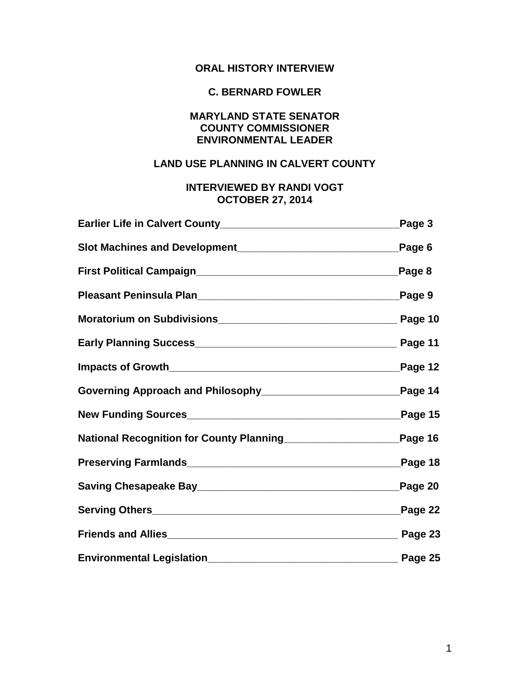# **ORAL HISTORY INTERVIEW**

# **C. BERNARD FOWLER**

# **MARYLAND STATE SENATOR COUNTY COMMISSIONER ENVIRONMENTAL LEADER**

# **LAND USE PLANNING IN CALVERT COUNTY**

# **INTERVIEWED BY RANDI VOGT OCTOBER 27, 2014**

|                                                                | Page 3     |
|----------------------------------------------------------------|------------|
|                                                                | Page 6     |
|                                                                | Page 8     |
|                                                                | Page 9     |
|                                                                |            |
|                                                                |            |
|                                                                | Page 12    |
|                                                                |            |
|                                                                | Page 15    |
| National Recognition for County Planning______________________ | $P$ age 16 |
|                                                                | Page 18    |
|                                                                | Page 20    |
|                                                                | Page 22    |
|                                                                | Page 23    |
|                                                                |            |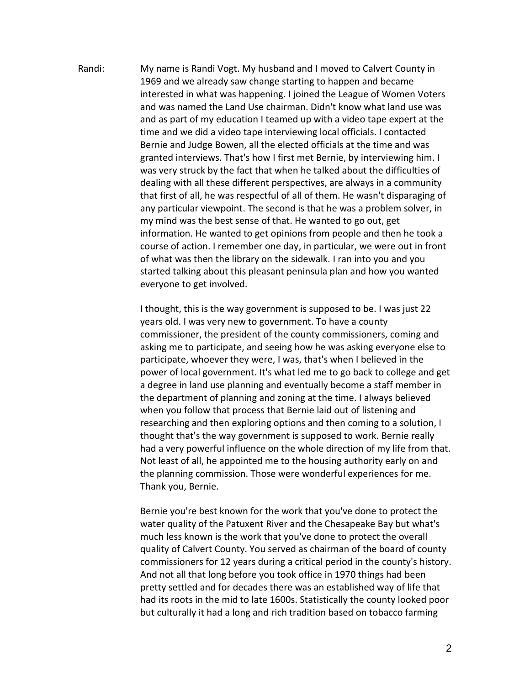Randi: My name is Randi Vogt. My husband and I moved to Calvert County in 1969 and we already saw change starting to happen and became interested in what was happening. I joined the League of Women Voters and was named the Land Use chairman. Didn't know what land use was and as part of my education I teamed up with a video tape expert at the time and we did a video tape interviewing local officials. I contacted Bernie and Judge Bowen, all the elected officials at the time and was granted interviews. That's how I first met Bernie, by interviewing him. I was very struck by the fact that when he talked about the difficulties of dealing with all these different perspectives, are always in a community that first of all, he was respectful of all of them. He wasn't disparaging of any particular viewpoint. The second is that he was a problem solver, in my mind was the best sense of that. He wanted to go out, get information. He wanted to get opinions from people and then he took a course of action. I remember one day, in particular, we were out in front of what was then the library on the sidewalk. I ran into you and you started talking about this pleasant peninsula plan and how you wanted everyone to get involved.

> I thought, this is the way government is supposed to be. I was just 22 years old. I was very new to government. To have a county commissioner, the president of the county commissioners, coming and asking me to participate, and seeing how he was asking everyone else to participate, whoever they were, I was, that's when I believed in the power of local government. It's what led me to go back to college and get a degree in land use planning and eventually become a staff member in the department of planning and zoning at the time. I always believed when you follow that process that Bernie laid out of listening and researching and then exploring options and then coming to a solution, I thought that's the way government is supposed to work. Bernie really had a very powerful influence on the whole direction of my life from that. Not least of all, he appointed me to the housing authority early on and the planning commission. Those were wonderful experiences for me. Thank you, Bernie.

> Bernie you're best known for the work that you've done to protect the water quality of the Patuxent River and the Chesapeake Bay but what's much less known is the work that you've done to protect the overall quality of Calvert County. You served as chairman of the board of county commissioners for 12 years during a critical period in the county's history. And not all that long before you took office in 1970 things had been pretty settled and for decades there was an established way of life that had its roots in the mid to late 1600s. Statistically the county looked poor but culturally it had a long and rich tradition based on tobacco farming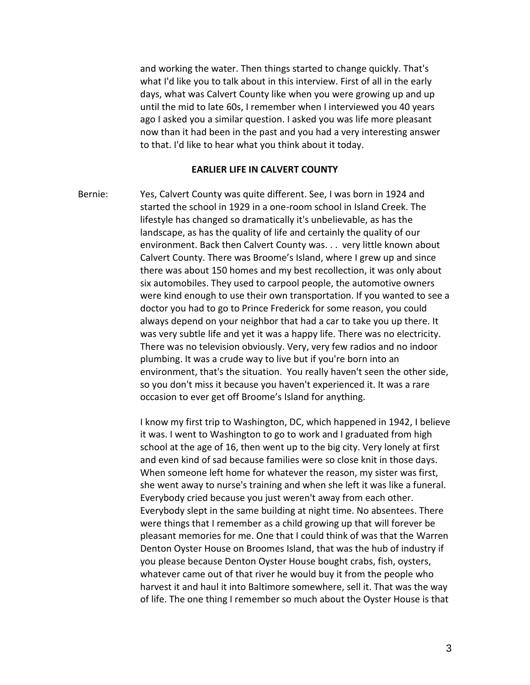and working the water. Then things started to change quickly. That's what I'd like you to talk about in this interview. First of all in the early days, what was Calvert County like when you were growing up and up until the mid to late 60s, I remember when I interviewed you 40 years ago I asked you a similar question. I asked you was life more pleasant now than it had been in the past and you had a very interesting answer to that. I'd like to hear what you think about it today.

#### **EARLIER LIFE IN CALVERT COUNTY**

Bernie: Yes, Calvert County was quite different. See, I was born in 1924 and started the school in 1929 in a one-room school in Island Creek. The lifestyle has changed so dramatically it's unbelievable, as has the landscape, as has the quality of life and certainly the quality of our environment. Back then Calvert County was. . . very little known about Calvert County. There was Broome's Island, where I grew up and since there was about 150 homes and my best recollection, it was only about six automobiles. They used to carpool people, the automotive owners were kind enough to use their own transportation. If you wanted to see a doctor you had to go to Prince Frederick for some reason, you could always depend on your neighbor that had a car to take you up there. It was very subtle life and yet it was a happy life. There was no electricity. There was no television obviously. Very, very few radios and no indoor plumbing. It was a crude way to live but if you're born into an environment, that's the situation. You really haven't seen the other side, so you don't miss it because you haven't experienced it. It was a rare occasion to ever get off Broome's Island for anything.

> I know my first trip to Washington, DC, which happened in 1942, I believe it was. I went to Washington to go to work and I graduated from high school at the age of 16, then went up to the big city. Very lonely at first and even kind of sad because families were so close knit in those days. When someone left home for whatever the reason, my sister was first, she went away to nurse's training and when she left it was like a funeral. Everybody cried because you just weren't away from each other. Everybody slept in the same building at night time. No absentees. There were things that I remember as a child growing up that will forever be pleasant memories for me. One that I could think of was that the Warren Denton Oyster House on Broomes Island, that was the hub of industry if you please because Denton Oyster House bought crabs, fish, oysters, whatever came out of that river he would buy it from the people who harvest it and haul it into Baltimore somewhere, sell it. That was the way of life. The one thing I remember so much about the Oyster House is that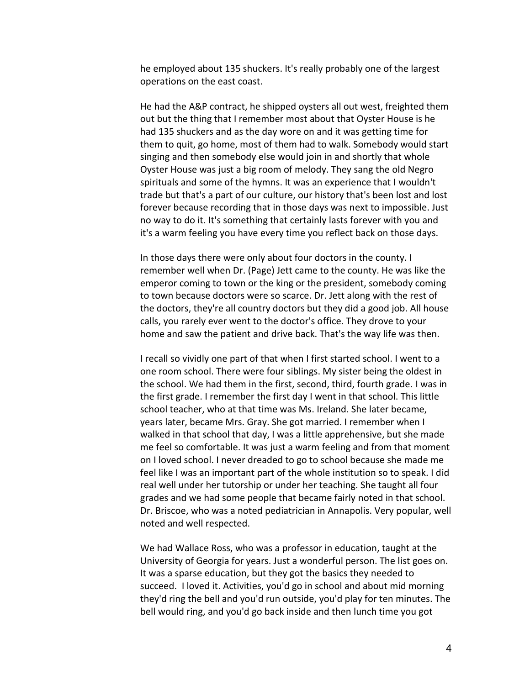he employed about 135 shuckers. It's really probably one of the largest operations on the east coast.

He had the A&P contract, he shipped oysters all out west, freighted them out but the thing that I remember most about that Oyster House is he had 135 shuckers and as the day wore on and it was getting time for them to quit, go home, most of them had to walk. Somebody would start singing and then somebody else would join in and shortly that whole Oyster House was just a big room of melody. They sang the old Negro spirituals and some of the hymns. It was an experience that I wouldn't trade but that's a part of our culture, our history that's been lost and lost forever because recording that in those days was next to impossible. Just no way to do it. It's something that certainly lasts forever with you and it's a warm feeling you have every time you reflect back on those days.

In those days there were only about four doctors in the county. I remember well when Dr. (Page) Jett came to the county. He was like the emperor coming to town or the king or the president, somebody coming to town because doctors were so scarce. Dr. Jett along with the rest of the doctors, they're all country doctors but they did a good job. All house calls, you rarely ever went to the doctor's office. They drove to your home and saw the patient and drive back. That's the way life was then.

I recall so vividly one part of that when I first started school. I went to a one room school. There were four siblings. My sister being the oldest in the school. We had them in the first, second, third, fourth grade. I was in the first grade. I remember the first day I went in that school. This little school teacher, who at that time was Ms. Ireland. She later became, years later, became Mrs. Gray. She got married. I remember when I walked in that school that day, I was a little apprehensive, but she made me feel so comfortable. It was just a warm feeling and from that moment on I loved school. I never dreaded to go to school because she made me feel like I was an important part of the whole institution so to speak. I did real well under her tutorship or under her teaching. She taught all four grades and we had some people that became fairly noted in that school. Dr. Briscoe, who was a noted pediatrician in Annapolis. Very popular, well noted and well respected.

We had Wallace Ross, who was a professor in education, taught at the University of Georgia for years. Just a wonderful person. The list goes on. It was a sparse education, but they got the basics they needed to succeed. I loved it. Activities, you'd go in school and about mid morning they'd ring the bell and you'd run outside, you'd play for ten minutes. The bell would ring, and you'd go back inside and then lunch time you got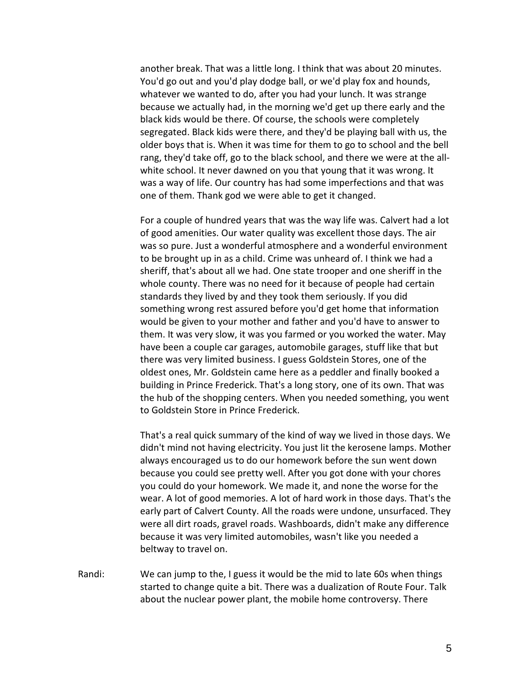another break. That was a little long. I think that was about 20 minutes. You'd go out and you'd play dodge ball, or we'd play fox and hounds, whatever we wanted to do, after you had your lunch. It was strange because we actually had, in the morning we'd get up there early and the black kids would be there. Of course, the schools were completely segregated. Black kids were there, and they'd be playing ball with us, the older boys that is. When it was time for them to go to school and the bell rang, they'd take off, go to the black school, and there we were at the allwhite school. It never dawned on you that young that it was wrong. It was a way of life. Our country has had some imperfections and that was one of them. Thank god we were able to get it changed.

For a couple of hundred years that was the way life was. Calvert had a lot of good amenities. Our water quality was excellent those days. The air was so pure. Just a wonderful atmosphere and a wonderful environment to be brought up in as a child. Crime was unheard of. I think we had a sheriff, that's about all we had. One state trooper and one sheriff in the whole county. There was no need for it because of people had certain standards they lived by and they took them seriously. If you did something wrong rest assured before you'd get home that information would be given to your mother and father and you'd have to answer to them. It was very slow, it was you farmed or you worked the water. May have been a couple car garages, automobile garages, stuff like that but there was very limited business. I guess Goldstein Stores, one of the oldest ones, Mr. Goldstein came here as a peddler and finally booked a building in Prince Frederick. That's a long story, one of its own. That was the hub of the shopping centers. When you needed something, you went to Goldstein Store in Prince Frederick.

That's a real quick summary of the kind of way we lived in those days. We didn't mind not having electricity. You just lit the kerosene lamps. Mother always encouraged us to do our homework before the sun went down because you could see pretty well. After you got done with your chores you could do your homework. We made it, and none the worse for the wear. A lot of good memories. A lot of hard work in those days. That's the early part of Calvert County. All the roads were undone, unsurfaced. They were all dirt roads, gravel roads. Washboards, didn't make any difference because it was very limited automobiles, wasn't like you needed a beltway to travel on.

Randi: We can jump to the, I guess it would be the mid to late 60s when things started to change quite a bit. There was a dualization of Route Four. Talk about the nuclear power plant, the mobile home controversy. There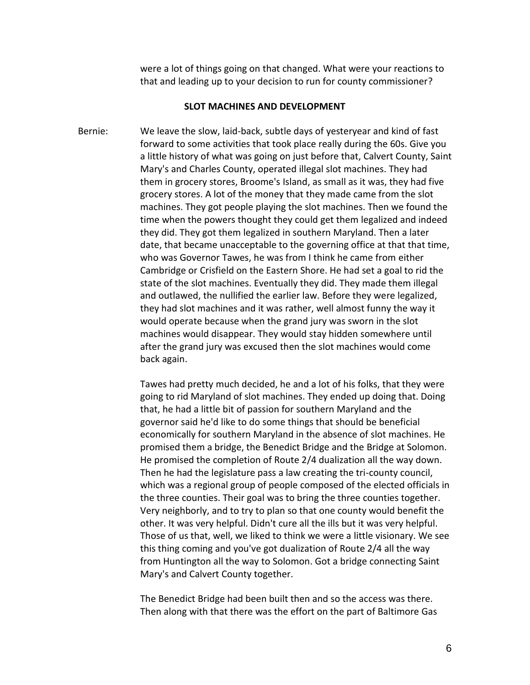were a lot of things going on that changed. What were your reactions to that and leading up to your decision to run for county commissioner?

## **SLOT MACHINES AND DEVELOPMENT**

Bernie: We leave the slow, laid-back, subtle days of yesteryear and kind of fast forward to some activities that took place really during the 60s. Give you a little history of what was going on just before that, Calvert County, Saint Mary's and Charles County, operated illegal slot machines. They had them in grocery stores, Broome's Island, as small as it was, they had five grocery stores. A lot of the money that they made came from the slot machines. They got people playing the slot machines. Then we found the time when the powers thought they could get them legalized and indeed they did. They got them legalized in southern Maryland. Then a later date, that became unacceptable to the governing office at that that time, who was Governor Tawes, he was from I think he came from either Cambridge or Crisfield on the Eastern Shore. He had set a goal to rid the state of the slot machines. Eventually they did. They made them illegal and outlawed, the nullified the earlier law. Before they were legalized, they had slot machines and it was rather, well almost funny the way it would operate because when the grand jury was sworn in the slot machines would disappear. They would stay hidden somewhere until after the grand jury was excused then the slot machines would come back again.

> Tawes had pretty much decided, he and a lot of his folks, that they were going to rid Maryland of slot machines. They ended up doing that. Doing that, he had a little bit of passion for southern Maryland and the governor said he'd like to do some things that should be beneficial economically for southern Maryland in the absence of slot machines. He promised them a bridge, the Benedict Bridge and the Bridge at Solomon. He promised the completion of Route 2/4 dualization all the way down. Then he had the legislature pass a law creating the tri-county council, which was a regional group of people composed of the elected officials in the three counties. Their goal was to bring the three counties together. Very neighborly, and to try to plan so that one county would benefit the other. It was very helpful. Didn't cure all the ills but it was very helpful. Those of us that, well, we liked to think we were a little visionary. We see this thing coming and you've got dualization of Route 2/4 all the way from Huntington all the way to Solomon. Got a bridge connecting Saint Mary's and Calvert County together.

The Benedict Bridge had been built then and so the access was there. Then along with that there was the effort on the part of Baltimore Gas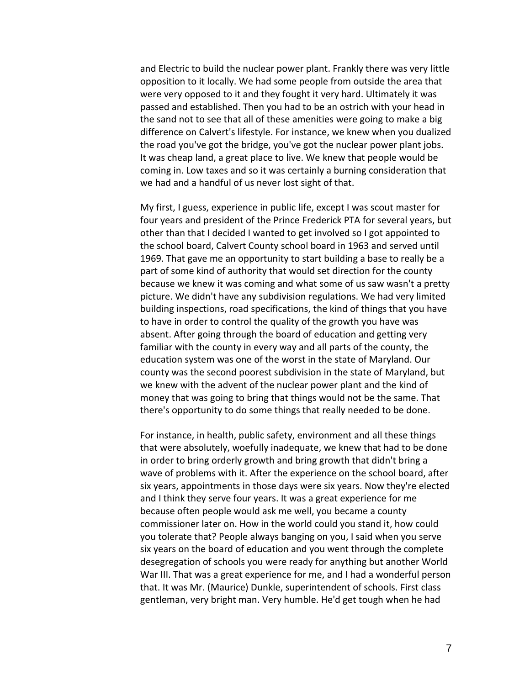and Electric to build the nuclear power plant. Frankly there was very little opposition to it locally. We had some people from outside the area that were very opposed to it and they fought it very hard. Ultimately it was passed and established. Then you had to be an ostrich with your head in the sand not to see that all of these amenities were going to make a big difference on Calvert's lifestyle. For instance, we knew when you dualized the road you've got the bridge, you've got the nuclear power plant jobs. It was cheap land, a great place to live. We knew that people would be coming in. Low taxes and so it was certainly a burning consideration that we had and a handful of us never lost sight of that.

My first, I guess, experience in public life, except I was scout master for four years and president of the Prince Frederick PTA for several years, but other than that I decided I wanted to get involved so I got appointed to the school board, Calvert County school board in 1963 and served until 1969. That gave me an opportunity to start building a base to really be a part of some kind of authority that would set direction for the county because we knew it was coming and what some of us saw wasn't a pretty picture. We didn't have any subdivision regulations. We had very limited building inspections, road specifications, the kind of things that you have to have in order to control the quality of the growth you have was absent. After going through the board of education and getting very familiar with the county in every way and all parts of the county, the education system was one of the worst in the state of Maryland. Our county was the second poorest subdivision in the state of Maryland, but we knew with the advent of the nuclear power plant and the kind of money that was going to bring that things would not be the same. That there's opportunity to do some things that really needed to be done.

For instance, in health, public safety, environment and all these things that were absolutely, woefully inadequate, we knew that had to be done in order to bring orderly growth and bring growth that didn't bring a wave of problems with it. After the experience on the school board, after six years, appointments in those days were six years. Now they're elected and I think they serve four years. It was a great experience for me because often people would ask me well, you became a county commissioner later on. How in the world could you stand it, how could you tolerate that? People always banging on you, I said when you serve six years on the board of education and you went through the complete desegregation of schools you were ready for anything but another World War III. That was a great experience for me, and I had a wonderful person that. It was Mr. (Maurice) Dunkle, superintendent of schools. First class gentleman, very bright man. Very humble. He'd get tough when he had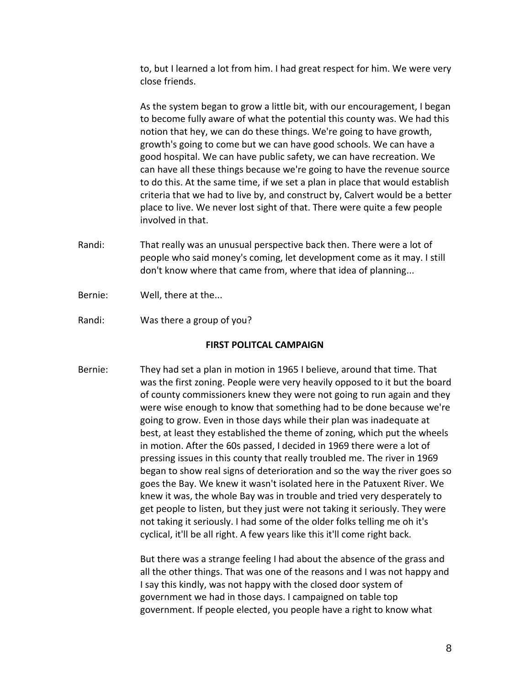to, but I learned a lot from him. I had great respect for him. We were very close friends.

As the system began to grow a little bit, with our encouragement, I began to become fully aware of what the potential this county was. We had this notion that hey, we can do these things. We're going to have growth, growth's going to come but we can have good schools. We can have a good hospital. We can have public safety, we can have recreation. We can have all these things because we're going to have the revenue source to do this. At the same time, if we set a plan in place that would establish criteria that we had to live by, and construct by, Calvert would be a better place to live. We never lost sight of that. There were quite a few people involved in that.

- Randi: That really was an unusual perspective back then. There were a lot of people who said money's coming, let development come as it may. I still don't know where that came from, where that idea of planning...
- Bernie: Well, there at the...
- Randi: Was there a group of you?

## **FIRST POLITCAL CAMPAIGN**

Bernie: They had set a plan in motion in 1965 I believe, around that time. That was the first zoning. People were very heavily opposed to it but the board of county commissioners knew they were not going to run again and they were wise enough to know that something had to be done because we're going to grow. Even in those days while their plan was inadequate at best, at least they established the theme of zoning, which put the wheels in motion. After the 60s passed, I decided in 1969 there were a lot of pressing issues in this county that really troubled me. The river in 1969 began to show real signs of deterioration and so the way the river goes so goes the Bay. We knew it wasn't isolated here in the Patuxent River. We knew it was, the whole Bay was in trouble and tried very desperately to get people to listen, but they just were not taking it seriously. They were not taking it seriously. I had some of the older folks telling me oh it's cyclical, it'll be all right. A few years like this it'll come right back.

> But there was a strange feeling I had about the absence of the grass and all the other things. That was one of the reasons and I was not happy and I say this kindly, was not happy with the closed door system of government we had in those days. I campaigned on table top government. If people elected, you people have a right to know what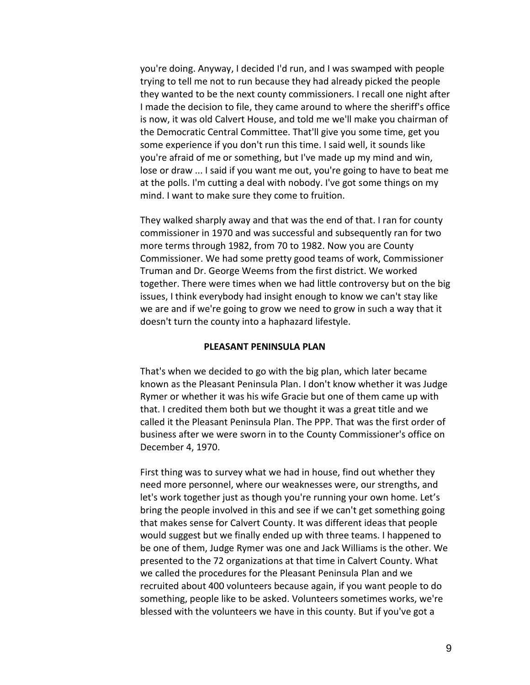you're doing. Anyway, I decided I'd run, and I was swamped with people trying to tell me not to run because they had already picked the people they wanted to be the next county commissioners. I recall one night after I made the decision to file, they came around to where the sheriff's office is now, it was old Calvert House, and told me we'll make you chairman of the Democratic Central Committee. That'll give you some time, get you some experience if you don't run this time. I said well, it sounds like you're afraid of me or something, but I've made up my mind and win, lose or draw ... I said if you want me out, you're going to have to beat me at the polls. I'm cutting a deal with nobody. I've got some things on my mind. I want to make sure they come to fruition.

They walked sharply away and that was the end of that. I ran for county commissioner in 1970 and was successful and subsequently ran for two more terms through 1982, from 70 to 1982. Now you are County Commissioner. We had some pretty good teams of work, Commissioner Truman and Dr. George Weems from the first district. We worked together. There were times when we had little controversy but on the big issues, I think everybody had insight enough to know we can't stay like we are and if we're going to grow we need to grow in such a way that it doesn't turn the county into a haphazard lifestyle.

# **PLEASANT PENINSULA PLAN**

That's when we decided to go with the big plan, which later became known as the Pleasant Peninsula Plan. I don't know whether it was Judge Rymer or whether it was his wife Gracie but one of them came up with that. I credited them both but we thought it was a great title and we called it the Pleasant Peninsula Plan. The PPP. That was the first order of business after we were sworn in to the County Commissioner's office on December 4, 1970.

First thing was to survey what we had in house, find out whether they need more personnel, where our weaknesses were, our strengths, and let's work together just as though you're running your own home. Let's bring the people involved in this and see if we can't get something going that makes sense for Calvert County. It was different ideas that people would suggest but we finally ended up with three teams. I happened to be one of them, Judge Rymer was one and Jack Williams is the other. We presented to the 72 organizations at that time in Calvert County. What we called the procedures for the Pleasant Peninsula Plan and we recruited about 400 volunteers because again, if you want people to do something, people like to be asked. Volunteers sometimes works, we're blessed with the volunteers we have in this county. But if you've got a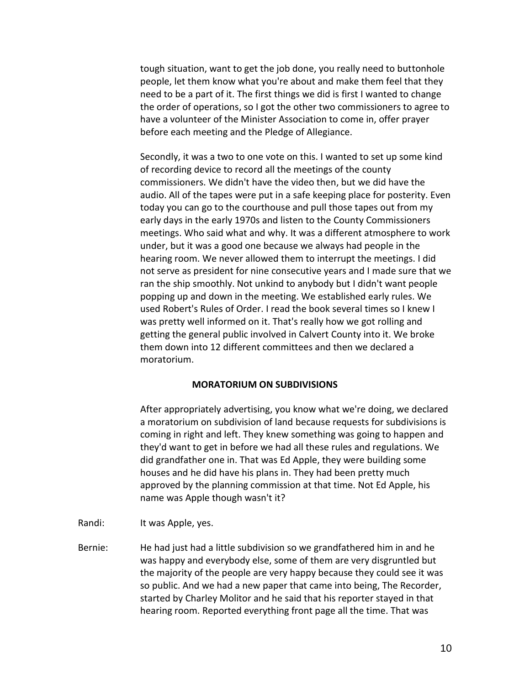tough situation, want to get the job done, you really need to buttonhole people, let them know what you're about and make them feel that they need to be a part of it. The first things we did is first I wanted to change the order of operations, so I got the other two commissioners to agree to have a volunteer of the Minister Association to come in, offer prayer before each meeting and the Pledge of Allegiance.

Secondly, it was a two to one vote on this. I wanted to set up some kind of recording device to record all the meetings of the county commissioners. We didn't have the video then, but we did have the audio. All of the tapes were put in a safe keeping place for posterity. Even today you can go to the courthouse and pull those tapes out from my early days in the early 1970s and listen to the County Commissioners meetings. Who said what and why. It was a different atmosphere to work under, but it was a good one because we always had people in the hearing room. We never allowed them to interrupt the meetings. I did not serve as president for nine consecutive years and I made sure that we ran the ship smoothly. Not unkind to anybody but I didn't want people popping up and down in the meeting. We established early rules. We used Robert's Rules of Order. I read the book several times so I knew I was pretty well informed on it. That's really how we got rolling and getting the general public involved in Calvert County into it. We broke them down into 12 different committees and then we declared a moratorium.

## **MORATORIUM ON SUBDIVISIONS**

After appropriately advertising, you know what we're doing, we declared a moratorium on subdivision of land because requests for subdivisions is coming in right and left. They knew something was going to happen and they'd want to get in before we had all these rules and regulations. We did grandfather one in. That was Ed Apple, they were building some houses and he did have his plans in. They had been pretty much approved by the planning commission at that time. Not Ed Apple, his name was Apple though wasn't it?

- Randi: It was Apple, yes.
- Bernie: He had just had a little subdivision so we grandfathered him in and he was happy and everybody else, some of them are very disgruntled but the majority of the people are very happy because they could see it was so public. And we had a new paper that came into being, The Recorder, started by Charley Molitor and he said that his reporter stayed in that hearing room. Reported everything front page all the time. That was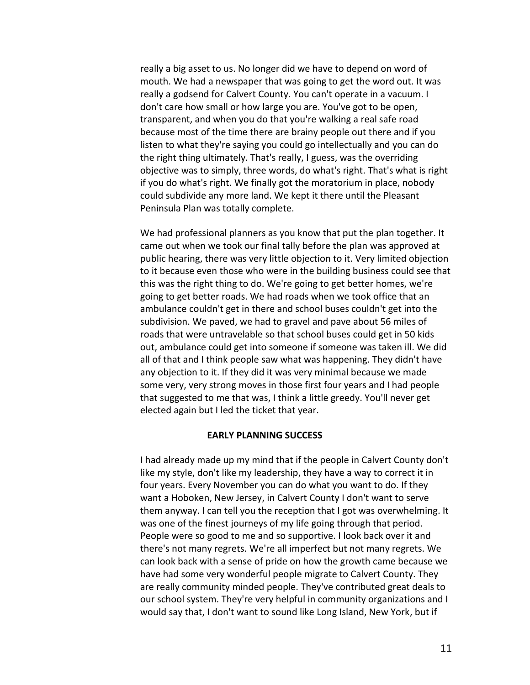really a big asset to us. No longer did we have to depend on word of mouth. We had a newspaper that was going to get the word out. It was really a godsend for Calvert County. You can't operate in a vacuum. I don't care how small or how large you are. You've got to be open, transparent, and when you do that you're walking a real safe road because most of the time there are brainy people out there and if you listen to what they're saying you could go intellectually and you can do the right thing ultimately. That's really, I guess, was the overriding objective was to simply, three words, do what's right. That's what is right if you do what's right. We finally got the moratorium in place, nobody could subdivide any more land. We kept it there until the Pleasant Peninsula Plan was totally complete.

We had professional planners as you know that put the plan together. It came out when we took our final tally before the plan was approved at public hearing, there was very little objection to it. Very limited objection to it because even those who were in the building business could see that this was the right thing to do. We're going to get better homes, we're going to get better roads. We had roads when we took office that an ambulance couldn't get in there and school buses couldn't get into the subdivision. We paved, we had to gravel and pave about 56 miles of roads that were untravelable so that school buses could get in 50 kids out, ambulance could get into someone if someone was taken ill. We did all of that and I think people saw what was happening. They didn't have any objection to it. If they did it was very minimal because we made some very, very strong moves in those first four years and I had people that suggested to me that was, I think a little greedy. You'll never get elected again but I led the ticket that year.

## **EARLY PLANNING SUCCESS**

I had already made up my mind that if the people in Calvert County don't like my style, don't like my leadership, they have a way to correct it in four years. Every November you can do what you want to do. If they want a Hoboken, New Jersey, in Calvert County I don't want to serve them anyway. I can tell you the reception that I got was overwhelming. It was one of the finest journeys of my life going through that period. People were so good to me and so supportive. I look back over it and there's not many regrets. We're all imperfect but not many regrets. We can look back with a sense of pride on how the growth came because we have had some very wonderful people migrate to Calvert County. They are really community minded people. They've contributed great deals to our school system. They're very helpful in community organizations and I would say that, I don't want to sound like Long Island, New York, but if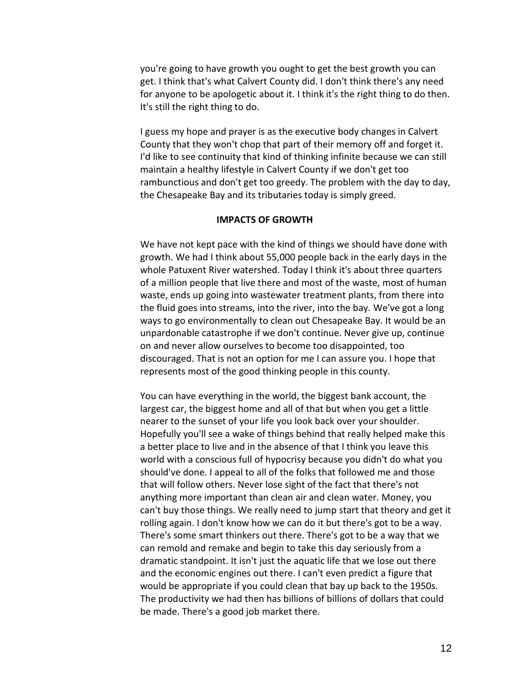you're going to have growth you ought to get the best growth you can get. I think that's what Calvert County did. I don't think there's any need for anyone to be apologetic about it. I think it's the right thing to do then. It's still the right thing to do.

I guess my hope and prayer is as the executive body changes in Calvert County that they won't chop that part of their memory off and forget it. I'd like to see continuity that kind of thinking infinite because we can still maintain a healthy lifestyle in Calvert County if we don't get too rambunctious and don't get too greedy. The problem with the day to day, the Chesapeake Bay and its tributaries today is simply greed.

## **IMPACTS OF GROWTH**

We have not kept pace with the kind of things we should have done with growth. We had I think about 55,000 people back in the early days in the whole Patuxent River watershed. Today I think it's about three quarters of a million people that live there and most of the waste, most of human waste, ends up going into wastewater treatment plants, from there into the fluid goes into streams, into the river, into the bay. We've got a long ways to go environmentally to clean out Chesapeake Bay. It would be an unpardonable catastrophe if we don't continue. Never give up, continue on and never allow ourselves to become too disappointed, too discouraged. That is not an option for me I can assure you. I hope that represents most of the good thinking people in this county.

You can have everything in the world, the biggest bank account, the largest car, the biggest home and all of that but when you get a little nearer to the sunset of your life you look back over your shoulder. Hopefully you'll see a wake of things behind that really helped make this a better place to live and in the absence of that I think you leave this world with a conscious full of hypocrisy because you didn't do what you should've done. I appeal to all of the folks that followed me and those that will follow others. Never lose sight of the fact that there's not anything more important than clean air and clean water. Money, you can't buy those things. We really need to jump start that theory and get it rolling again. I don't know how we can do it but there's got to be a way. There's some smart thinkers out there. There's got to be a way that we can remold and remake and begin to take this day seriously from a dramatic standpoint. It isn't just the aquatic life that we lose out there and the economic engines out there. I can't even predict a figure that would be appropriate if you could clean that bay up back to the 1950s. The productivity we had then has billions of billions of dollars that could be made. There's a good job market there.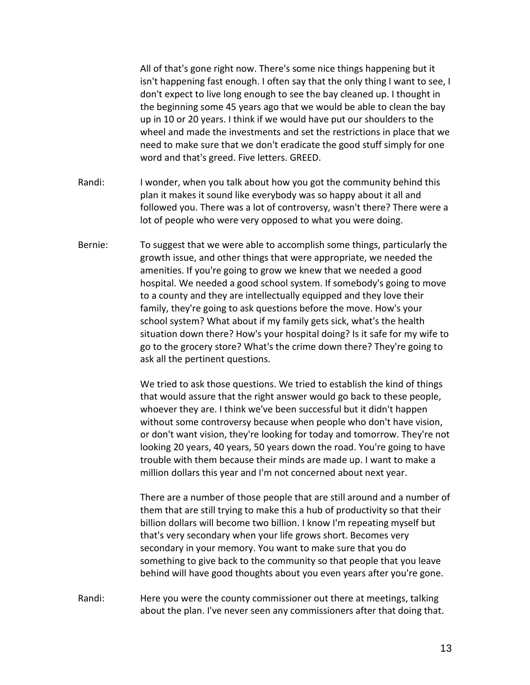All of that's gone right now. There's some nice things happening but it isn't happening fast enough. I often say that the only thing I want to see, I don't expect to live long enough to see the bay cleaned up. I thought in the beginning some 45 years ago that we would be able to clean the bay up in 10 or 20 years. I think if we would have put our shoulders to the wheel and made the investments and set the restrictions in place that we need to make sure that we don't eradicate the good stuff simply for one word and that's greed. Five letters. GREED.

- Randi: I wonder, when you talk about how you got the community behind this plan it makes it sound like everybody was so happy about it all and followed you. There was a lot of controversy, wasn't there? There were a lot of people who were very opposed to what you were doing.
- Bernie: To suggest that we were able to accomplish some things, particularly the growth issue, and other things that were appropriate, we needed the amenities. If you're going to grow we knew that we needed a good hospital. We needed a good school system. If somebody's going to move to a county and they are intellectually equipped and they love their family, they're going to ask questions before the move. How's your school system? What about if my family gets sick, what's the health situation down there? How's your hospital doing? Is it safe for my wife to go to the grocery store? What's the crime down there? They're going to ask all the pertinent questions.

We tried to ask those questions. We tried to establish the kind of things that would assure that the right answer would go back to these people, whoever they are. I think we've been successful but it didn't happen without some controversy because when people who don't have vision, or don't want vision, they're looking for today and tomorrow. They're not looking 20 years, 40 years, 50 years down the road. You're going to have trouble with them because their minds are made up. I want to make a million dollars this year and I'm not concerned about next year.

There are a number of those people that are still around and a number of them that are still trying to make this a hub of productivity so that their billion dollars will become two billion. I know I'm repeating myself but that's very secondary when your life grows short. Becomes very secondary in your memory. You want to make sure that you do something to give back to the community so that people that you leave behind will have good thoughts about you even years after you're gone.

Randi: Here you were the county commissioner out there at meetings, talking about the plan. I've never seen any commissioners after that doing that.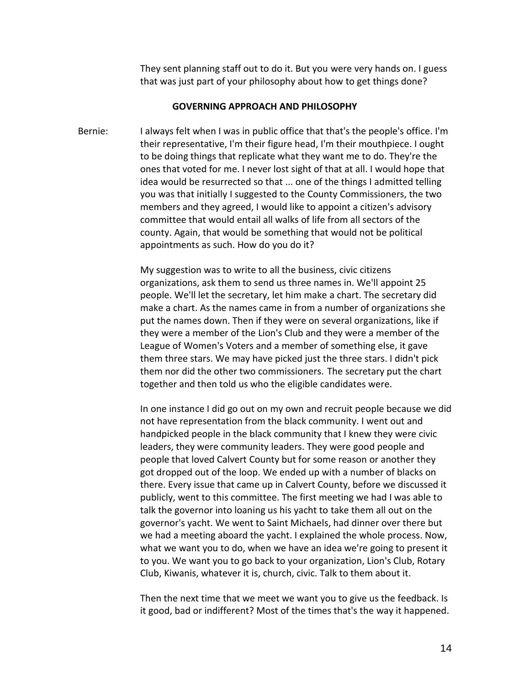They sent planning staff out to do it. But you were very hands on. I guess that was just part of your philosophy about how to get things done?

### **GOVERNING APPROACH AND PHILOSOPHY**

Bernie: I always felt when I was in public office that that's the people's office. I'm their representative, I'm their figure head, I'm their mouthpiece. I ought to be doing things that replicate what they want me to do. They're the ones that voted for me. I never lost sight of that at all. I would hope that idea would be resurrected so that ... one of the things I admitted telling you was that initially I suggested to the County Commissioners, the two members and they agreed, I would like to appoint a citizen's advisory committee that would entail all walks of life from all sectors of the county. Again, that would be something that would not be political appointments as such. How do you do it?

> My suggestion was to write to all the business, civic citizens organizations, ask them to send us three names in. We'll appoint 25 people. We'll let the secretary, let him make a chart. The secretary did make a chart. As the names came in from a number of organizations she put the names down. Then if they were on several organizations, like if they were a member of the Lion's Club and they were a member of the League of Women's Voters and a member of something else, it gave them three stars. We may have picked just the three stars. I didn't pick them nor did the other two commissioners. The secretary put the chart together and then told us who the eligible candidates were.

In one instance I did go out on my own and recruit people because we did not have representation from the black community. I went out and handpicked people in the black community that I knew they were civic leaders, they were community leaders. They were good people and people that loved Calvert County but for some reason or another they got dropped out of the loop. We ended up with a number of blacks on there. Every issue that came up in Calvert County, before we discussed it publicly, went to this committee. The first meeting we had I was able to talk the governor into loaning us his yacht to take them all out on the governor's yacht. We went to Saint Michaels, had dinner over there but we had a meeting aboard the yacht. I explained the whole process. Now, what we want you to do, when we have an idea we're going to present it to you. We want you to go back to your organization, Lion's Club, Rotary Club, Kiwanis, whatever it is, church, civic. Talk to them about it.

Then the next time that we meet we want you to give us the feedback. Is it good, bad or indifferent? Most of the times that's the way it happened.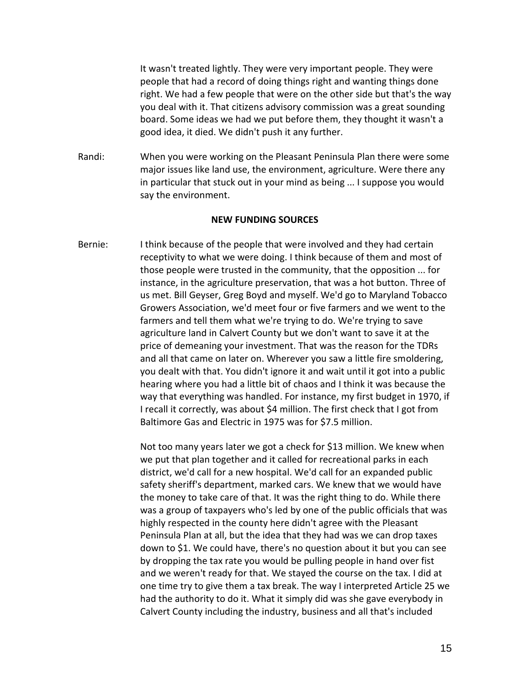It wasn't treated lightly. They were very important people. They were people that had a record of doing things right and wanting things done right. We had a few people that were on the other side but that's the way you deal with it. That citizens advisory commission was a great sounding board. Some ideas we had we put before them, they thought it wasn't a good idea, it died. We didn't push it any further.

Randi: When you were working on the Pleasant Peninsula Plan there were some major issues like land use, the environment, agriculture. Were there any in particular that stuck out in your mind as being ... I suppose you would say the environment.

#### **NEW FUNDING SOURCES**

Bernie: I think because of the people that were involved and they had certain receptivity to what we were doing. I think because of them and most of those people were trusted in the community, that the opposition ... for instance, in the agriculture preservation, that was a hot button. Three of us met. Bill Geyser, Greg Boyd and myself. We'd go to Maryland Tobacco Growers Association, we'd meet four or five farmers and we went to the farmers and tell them what we're trying to do. We're trying to save agriculture land in Calvert County but we don't want to save it at the price of demeaning your investment. That was the reason for the TDRs and all that came on later on. Wherever you saw a little fire smoldering, you dealt with that. You didn't ignore it and wait until it got into a public hearing where you had a little bit of chaos and I think it was because the way that everything was handled. For instance, my first budget in 1970, if I recall it correctly, was about \$4 million. The first check that I got from Baltimore Gas and Electric in 1975 was for \$7.5 million.

> Not too many years later we got a check for \$13 million. We knew when we put that plan together and it called for recreational parks in each district, we'd call for a new hospital. We'd call for an expanded public safety sheriff's department, marked cars. We knew that we would have the money to take care of that. It was the right thing to do. While there was a group of taxpayers who's led by one of the public officials that was highly respected in the county here didn't agree with the Pleasant Peninsula Plan at all, but the idea that they had was we can drop taxes down to \$1. We could have, there's no question about it but you can see by dropping the tax rate you would be pulling people in hand over fist and we weren't ready for that. We stayed the course on the tax. I did at one time try to give them a tax break. The way I interpreted Article 25 we had the authority to do it. What it simply did was she gave everybody in Calvert County including the industry, business and all that's included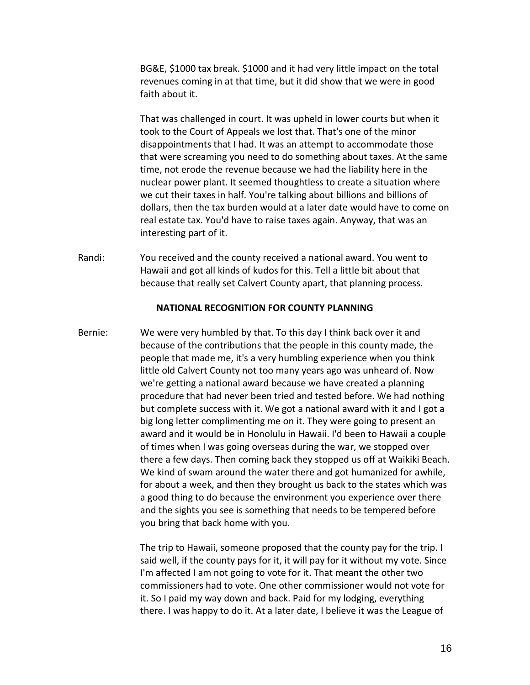BG&E, \$1000 tax break. \$1000 and it had very little impact on the total revenues coming in at that time, but it did show that we were in good faith about it.

That was challenged in court. It was upheld in lower courts but when it took to the Court of Appeals we lost that. That's one of the minor disappointments that I had. It was an attempt to accommodate those that were screaming you need to do something about taxes. At the same time, not erode the revenue because we had the liability here in the nuclear power plant. It seemed thoughtless to create a situation where we cut their taxes in half. You're talking about billions and billions of dollars, then the tax burden would at a later date would have to come on real estate tax. You'd have to raise taxes again. Anyway, that was an interesting part of it.

Randi: You received and the county received a national award. You went to Hawaii and got all kinds of kudos for this. Tell a little bit about that because that really set Calvert County apart, that planning process.

#### **NATIONAL RECOGNITION FOR COUNTY PLANNING**

Bernie: We were very humbled by that. To this day I think back over it and because of the contributions that the people in this county made, the people that made me, it's a very humbling experience when you think little old Calvert County not too many years ago was unheard of. Now we're getting a national award because we have created a planning procedure that had never been tried and tested before. We had nothing but complete success with it. We got a national award with it and I got a big long letter complimenting me on it. They were going to present an award and it would be in Honolulu in Hawaii. I'd been to Hawaii a couple of times when I was going overseas during the war, we stopped over there a few days. Then coming back they stopped us off at Waikiki Beach. We kind of swam around the water there and got humanized for awhile, for about a week, and then they brought us back to the states which was a good thing to do because the environment you experience over there and the sights you see is something that needs to be tempered before you bring that back home with you.

> The trip to Hawaii, someone proposed that the county pay for the trip. I said well, if the county pays for it, it will pay for it without my vote. Since I'm affected I am not going to vote for it. That meant the other two commissioners had to vote. One other commissioner would not vote for it. So I paid my way down and back. Paid for my lodging, everything there. I was happy to do it. At a later date, I believe it was the League of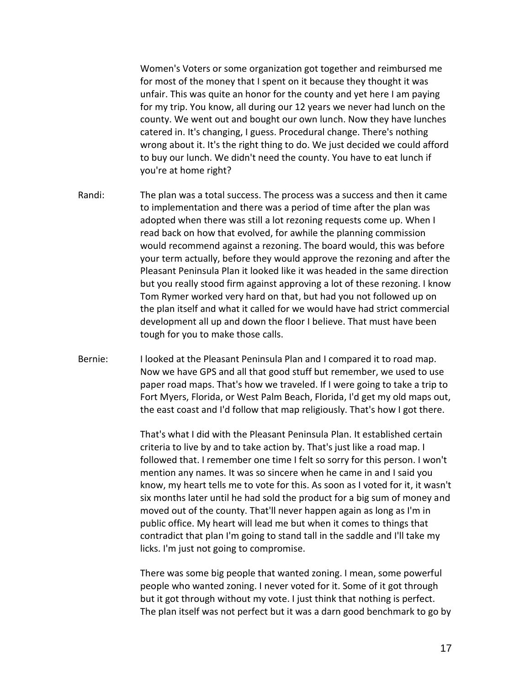Women's Voters or some organization got together and reimbursed me for most of the money that I spent on it because they thought it was unfair. This was quite an honor for the county and yet here I am paying for my trip. You know, all during our 12 years we never had lunch on the county. We went out and bought our own lunch. Now they have lunches catered in. It's changing, I guess. Procedural change. There's nothing wrong about it. It's the right thing to do. We just decided we could afford to buy our lunch. We didn't need the county. You have to eat lunch if you're at home right?

- Randi: The plan was a total success. The process was a success and then it came to implementation and there was a period of time after the plan was adopted when there was still a lot rezoning requests come up. When I read back on how that evolved, for awhile the planning commission would recommend against a rezoning. The board would, this was before your term actually, before they would approve the rezoning and after the Pleasant Peninsula Plan it looked like it was headed in the same direction but you really stood firm against approving a lot of these rezoning. I know Tom Rymer worked very hard on that, but had you not followed up on the plan itself and what it called for we would have had strict commercial development all up and down the floor I believe. That must have been tough for you to make those calls.
- Bernie: I looked at the Pleasant Peninsula Plan and I compared it to road map. Now we have GPS and all that good stuff but remember, we used to use paper road maps. That's how we traveled. If I were going to take a trip to Fort Myers, Florida, or West Palm Beach, Florida, I'd get my old maps out, the east coast and I'd follow that map religiously. That's how I got there.

That's what I did with the Pleasant Peninsula Plan. It established certain criteria to live by and to take action by. That's just like a road map. I followed that. I remember one time I felt so sorry for this person. I won't mention any names. It was so sincere when he came in and I said you know, my heart tells me to vote for this. As soon as I voted for it, it wasn't six months later until he had sold the product for a big sum of money and moved out of the county. That'll never happen again as long as I'm in public office. My heart will lead me but when it comes to things that contradict that plan I'm going to stand tall in the saddle and I'll take my licks. I'm just not going to compromise.

There was some big people that wanted zoning. I mean, some powerful people who wanted zoning. I never voted for it. Some of it got through but it got through without my vote. I just think that nothing is perfect. The plan itself was not perfect but it was a darn good benchmark to go by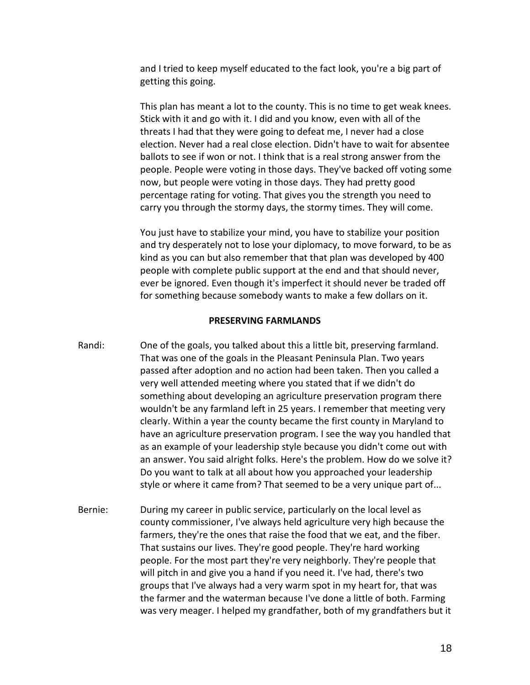and I tried to keep myself educated to the fact look, you're a big part of getting this going.

This plan has meant a lot to the county. This is no time to get weak knees. Stick with it and go with it. I did and you know, even with all of the threats I had that they were going to defeat me, I never had a close election. Never had a real close election. Didn't have to wait for absentee ballots to see if won or not. I think that is a real strong answer from the people. People were voting in those days. They've backed off voting some now, but people were voting in those days. They had pretty good percentage rating for voting. That gives you the strength you need to carry you through the stormy days, the stormy times. They will come.

You just have to stabilize your mind, you have to stabilize your position and try desperately not to lose your diplomacy, to move forward, to be as kind as you can but also remember that that plan was developed by 400 people with complete public support at the end and that should never, ever be ignored. Even though it's imperfect it should never be traded off for something because somebody wants to make a few dollars on it.

## **PRESERVING FARMLANDS**

- Randi: One of the goals, you talked about this a little bit, preserving farmland. That was one of the goals in the Pleasant Peninsula Plan. Two years passed after adoption and no action had been taken. Then you called a very well attended meeting where you stated that if we didn't do something about developing an agriculture preservation program there wouldn't be any farmland left in 25 years. I remember that meeting very clearly. Within a year the county became the first county in Maryland to have an agriculture preservation program. I see the way you handled that as an example of your leadership style because you didn't come out with an answer. You said alright folks. Here's the problem. How do we solve it? Do you want to talk at all about how you approached your leadership style or where it came from? That seemed to be a very unique part of...
- Bernie: During my career in public service, particularly on the local level as county commissioner, I've always held agriculture very high because the farmers, they're the ones that raise the food that we eat, and the fiber. That sustains our lives. They're good people. They're hard working people. For the most part they're very neighborly. They're people that will pitch in and give you a hand if you need it. I've had, there's two groups that I've always had a very warm spot in my heart for, that was the farmer and the waterman because I've done a little of both. Farming was very meager. I helped my grandfather, both of my grandfathers but it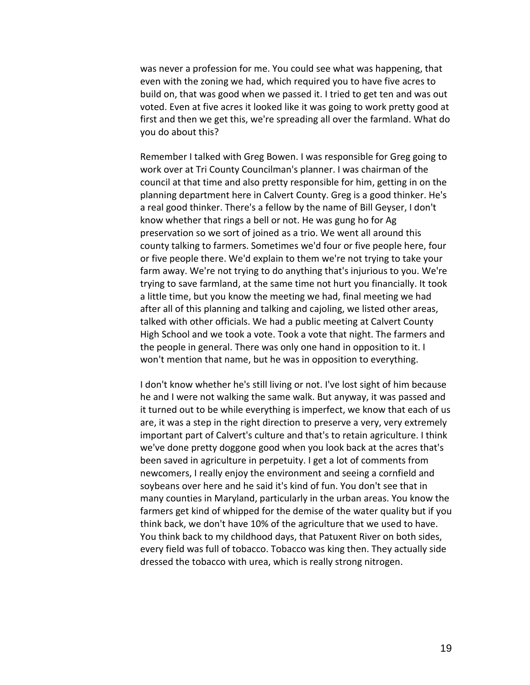was never a profession for me. You could see what was happening, that even with the zoning we had, which required you to have five acres to build on, that was good when we passed it. I tried to get ten and was out voted. Even at five acres it looked like it was going to work pretty good at first and then we get this, we're spreading all over the farmland. What do you do about this?

Remember I talked with Greg Bowen. I was responsible for Greg going to work over at Tri County Councilman's planner. I was chairman of the council at that time and also pretty responsible for him, getting in on the planning department here in Calvert County. Greg is a good thinker. He's a real good thinker. There's a fellow by the name of Bill Geyser, I don't know whether that rings a bell or not. He was gung ho for Ag preservation so we sort of joined as a trio. We went all around this county talking to farmers. Sometimes we'd four or five people here, four or five people there. We'd explain to them we're not trying to take your farm away. We're not trying to do anything that's injurious to you. We're trying to save farmland, at the same time not hurt you financially. It took a little time, but you know the meeting we had, final meeting we had after all of this planning and talking and cajoling, we listed other areas, talked with other officials. We had a public meeting at Calvert County High School and we took a vote. Took a vote that night. The farmers and the people in general. There was only one hand in opposition to it. I won't mention that name, but he was in opposition to everything.

I don't know whether he's still living or not. I've lost sight of him because he and I were not walking the same walk. But anyway, it was passed and it turned out to be while everything is imperfect, we know that each of us are, it was a step in the right direction to preserve a very, very extremely important part of Calvert's culture and that's to retain agriculture. I think we've done pretty doggone good when you look back at the acres that's been saved in agriculture in perpetuity. I get a lot of comments from newcomers, I really enjoy the environment and seeing a cornfield and soybeans over here and he said it's kind of fun. You don't see that in many counties in Maryland, particularly in the urban areas. You know the farmers get kind of whipped for the demise of the water quality but if you think back, we don't have 10% of the agriculture that we used to have. You think back to my childhood days, that Patuxent River on both sides, every field was full of tobacco. Tobacco was king then. They actually side dressed the tobacco with urea, which is really strong nitrogen.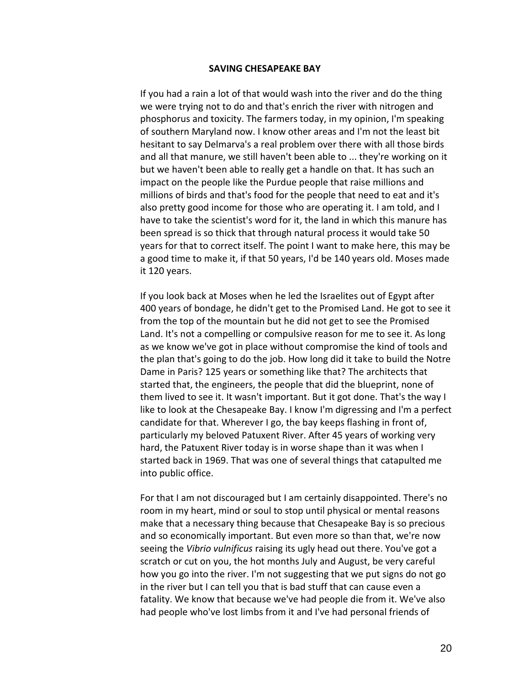#### **SAVING CHESAPEAKE BAY**

If you had a rain a lot of that would wash into the river and do the thing we were trying not to do and that's enrich the river with nitrogen and phosphorus and toxicity. The farmers today, in my opinion, I'm speaking of southern Maryland now. I know other areas and I'm not the least bit hesitant to say Delmarva's a real problem over there with all those birds and all that manure, we still haven't been able to ... they're working on it but we haven't been able to really get a handle on that. It has such an impact on the people like the Purdue people that raise millions and millions of birds and that's food for the people that need to eat and it's also pretty good income for those who are operating it. I am told, and I have to take the scientist's word for it, the land in which this manure has been spread is so thick that through natural process it would take 50 years for that to correct itself. The point I want to make here, this may be a good time to make it, if that 50 years, I'd be 140 years old. Moses made it 120 years.

If you look back at Moses when he led the Israelites out of Egypt after 400 years of bondage, he didn't get to the Promised Land. He got to see it from the top of the mountain but he did not get to see the Promised Land. It's not a compelling or compulsive reason for me to see it. As long as we know we've got in place without compromise the kind of tools and the plan that's going to do the job. How long did it take to build the Notre Dame in Paris? 125 years or something like that? The architects that started that, the engineers, the people that did the blueprint, none of them lived to see it. It wasn't important. But it got done. That's the way I like to look at the Chesapeake Bay. I know I'm digressing and I'm a perfect candidate for that. Wherever I go, the bay keeps flashing in front of, particularly my beloved Patuxent River. After 45 years of working very hard, the Patuxent River today is in worse shape than it was when I started back in 1969. That was one of several things that catapulted me into public office.

For that I am not discouraged but I am certainly disappointed. There's no room in my heart, mind or soul to stop until physical or mental reasons make that a necessary thing because that Chesapeake Bay is so precious and so economically important. But even more so than that, we're now seeing the *Vibrio vulnificus* raising its ugly head out there. You've got a scratch or cut on you, the hot months July and August, be very careful how you go into the river. I'm not suggesting that we put signs do not go in the river but I can tell you that is bad stuff that can cause even a fatality. We know that because we've had people die from it. We've also had people who've lost limbs from it and I've had personal friends of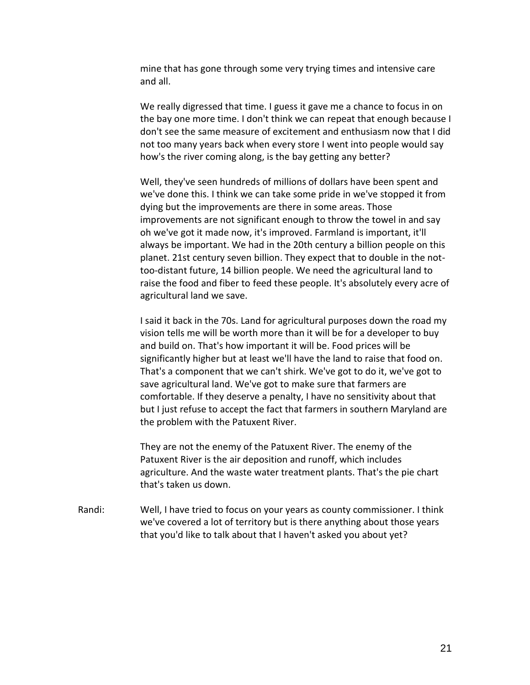mine that has gone through some very trying times and intensive care and all.

We really digressed that time. I guess it gave me a chance to focus in on the bay one more time. I don't think we can repeat that enough because I don't see the same measure of excitement and enthusiasm now that I did not too many years back when every store I went into people would say how's the river coming along, is the bay getting any better?

Well, they've seen hundreds of millions of dollars have been spent and we've done this. I think we can take some pride in we've stopped it from dying but the improvements are there in some areas. Those improvements are not significant enough to throw the towel in and say oh we've got it made now, it's improved. Farmland is important, it'll always be important. We had in the 20th century a billion people on this planet. 21st century seven billion. They expect that to double in the nottoo-distant future, 14 billion people. We need the agricultural land to raise the food and fiber to feed these people. It's absolutely every acre of agricultural land we save.

I said it back in the 70s. Land for agricultural purposes down the road my vision tells me will be worth more than it will be for a developer to buy and build on. That's how important it will be. Food prices will be significantly higher but at least we'll have the land to raise that food on. That's a component that we can't shirk. We've got to do it, we've got to save agricultural land. We've got to make sure that farmers are comfortable. If they deserve a penalty, I have no sensitivity about that but I just refuse to accept the fact that farmers in southern Maryland are the problem with the Patuxent River.

They are not the enemy of the Patuxent River. The enemy of the Patuxent River is the air deposition and runoff, which includes agriculture. And the waste water treatment plants. That's the pie chart that's taken us down.

Randi: Well, I have tried to focus on your years as county commissioner. I think we've covered a lot of territory but is there anything about those years that you'd like to talk about that I haven't asked you about yet?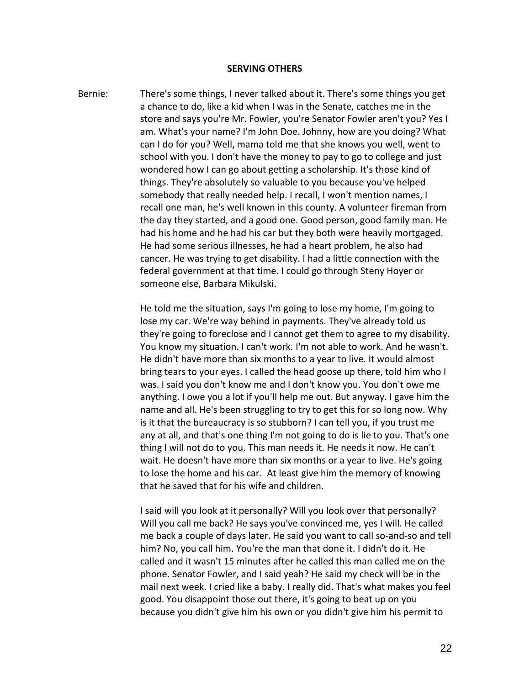#### **SERVING OTHERS**

Bernie: There's some things, I never talked about it. There's some things you get a chance to do, like a kid when I was in the Senate, catches me in the store and says you're Mr. Fowler, you're Senator Fowler aren't you? Yes I am. What's your name? I'm John Doe. Johnny, how are you doing? What can I do for you? Well, mama told me that she knows you well, went to school with you. I don't have the money to pay to go to college and just wondered how I can go about getting a scholarship. It's those kind of things. They're absolutely so valuable to you because you've helped somebody that really needed help. I recall, I won't mention names, I recall one man, he's well known in this county. A volunteer fireman from the day they started, and a good one. Good person, good family man. He had his home and he had his car but they both were heavily mortgaged. He had some serious illnesses, he had a heart problem, he also had cancer. He was trying to get disability. I had a little connection with the federal government at that time. I could go through Steny Hoyer or someone else, Barbara Mikulski.

> He told me the situation, says I'm going to lose my home, I'm going to lose my car. We're way behind in payments. They've already told us they're going to foreclose and I cannot get them to agree to my disability. You know my situation. I can't work. I'm not able to work. And he wasn't. He didn't have more than six months to a year to live. It would almost bring tears to your eyes. I called the head goose up there, told him who I was. I said you don't know me and I don't know you. You don't owe me anything. I owe you a lot if you'll help me out. But anyway. I gave him the name and all. He's been struggling to try to get this for so long now. Why is it that the bureaucracy is so stubborn? I can tell you, if you trust me any at all, and that's one thing I'm not going to do is lie to you. That's one thing I will not do to you. This man needs it. He needs it now. He can't wait. He doesn't have more than six months or a year to live. He's going to lose the home and his car. At least give him the memory of knowing that he saved that for his wife and children.

> I said will you look at it personally? Will you look over that personally? Will you call me back? He says you've convinced me, yes I will. He called me back a couple of days later. He said you want to call so-and-so and tell him? No, you call him. You're the man that done it. I didn't do it. He called and it wasn't 15 minutes after he called this man called me on the phone. Senator Fowler, and I said yeah? He said my check will be in the mail next week. I cried like a baby. I really did. That's what makes you feel good. You disappoint those out there, it's going to beat up on you because you didn't give him his own or you didn't give him his permit to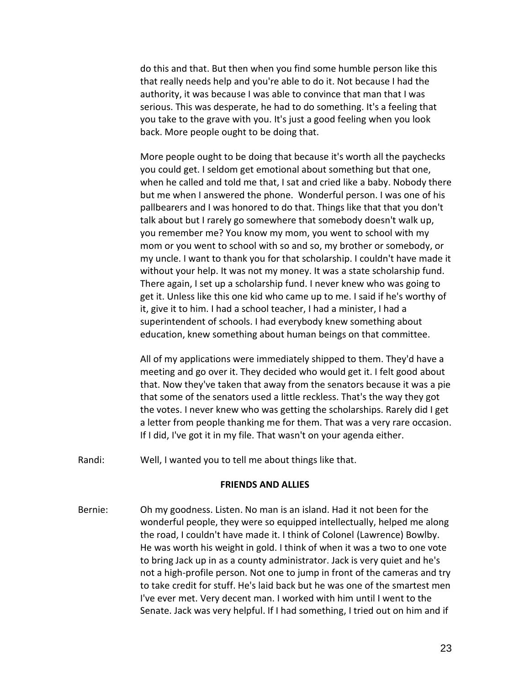do this and that. But then when you find some humble person like this that really needs help and you're able to do it. Not because I had the authority, it was because I was able to convince that man that I was serious. This was desperate, he had to do something. It's a feeling that you take to the grave with you. It's just a good feeling when you look back. More people ought to be doing that.

More people ought to be doing that because it's worth all the paychecks you could get. I seldom get emotional about something but that one, when he called and told me that, I sat and cried like a baby. Nobody there but me when I answered the phone. Wonderful person. I was one of his pallbearers and I was honored to do that. Things like that that you don't talk about but I rarely go somewhere that somebody doesn't walk up, you remember me? You know my mom, you went to school with my mom or you went to school with so and so, my brother or somebody, or my uncle. I want to thank you for that scholarship. I couldn't have made it without your help. It was not my money. It was a state scholarship fund. There again, I set up a scholarship fund. I never knew who was going to get it. Unless like this one kid who came up to me. I said if he's worthy of it, give it to him. I had a school teacher, I had a minister, I had a superintendent of schools. I had everybody knew something about education, knew something about human beings on that committee.

All of my applications were immediately shipped to them. They'd have a meeting and go over it. They decided who would get it. I felt good about that. Now they've taken that away from the senators because it was a pie that some of the senators used a little reckless. That's the way they got the votes. I never knew who was getting the scholarships. Rarely did I get a letter from people thanking me for them. That was a very rare occasion. If I did, I've got it in my file. That wasn't on your agenda either.

Randi: Well, I wanted you to tell me about things like that.

#### **FRIENDS AND ALLIES**

Bernie: Oh my goodness. Listen. No man is an island. Had it not been for the wonderful people, they were so equipped intellectually, helped me along the road, I couldn't have made it. I think of Colonel (Lawrence) Bowlby. He was worth his weight in gold. I think of when it was a two to one vote to bring Jack up in as a county administrator. Jack is very quiet and he's not a high-profile person. Not one to jump in front of the cameras and try to take credit for stuff. He's laid back but he was one of the smartest men I've ever met. Very decent man. I worked with him until I went to the Senate. Jack was very helpful. If I had something, I tried out on him and if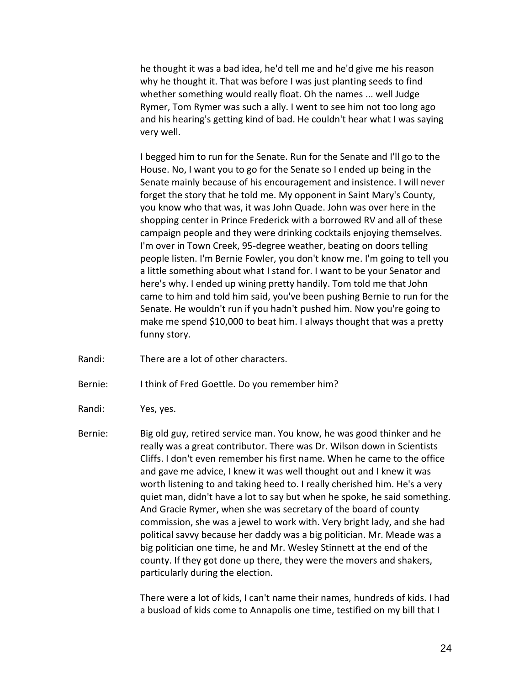he thought it was a bad idea, he'd tell me and he'd give me his reason why he thought it. That was before I was just planting seeds to find whether something would really float. Oh the names ... well Judge Rymer, Tom Rymer was such a ally. I went to see him not too long ago and his hearing's getting kind of bad. He couldn't hear what I was saying very well.

I begged him to run for the Senate. Run for the Senate and I'll go to the House. No, I want you to go for the Senate so I ended up being in the Senate mainly because of his encouragement and insistence. I will never forget the story that he told me. My opponent in Saint Mary's County, you know who that was, it was John Quade. John was over here in the shopping center in Prince Frederick with a borrowed RV and all of these campaign people and they were drinking cocktails enjoying themselves. I'm over in Town Creek, 95-degree weather, beating on doors telling people listen. I'm Bernie Fowler, you don't know me. I'm going to tell you a little something about what I stand for. I want to be your Senator and here's why. I ended up wining pretty handily. Tom told me that John came to him and told him said, you've been pushing Bernie to run for the Senate. He wouldn't run if you hadn't pushed him. Now you're going to make me spend \$10,000 to beat him. I always thought that was a pretty funny story.

- Randi: There are a lot of other characters.
- Bernie: I think of Fred Goettle. Do you remember him?
- Randi: Yes, yes.
- Bernie: Big old guy, retired service man. You know, he was good thinker and he really was a great contributor. There was Dr. Wilson down in Scientists Cliffs. I don't even remember his first name. When he came to the office and gave me advice, I knew it was well thought out and I knew it was worth listening to and taking heed to. I really cherished him. He's a very quiet man, didn't have a lot to say but when he spoke, he said something. And Gracie Rymer, when she was secretary of the board of county commission, she was a jewel to work with. Very bright lady, and she had political savvy because her daddy was a big politician. Mr. Meade was a big politician one time, he and Mr. Wesley Stinnett at the end of the county. If they got done up there, they were the movers and shakers, particularly during the election.

There were a lot of kids, I can't name their names, hundreds of kids. I had a busload of kids come to Annapolis one time, testified on my bill that I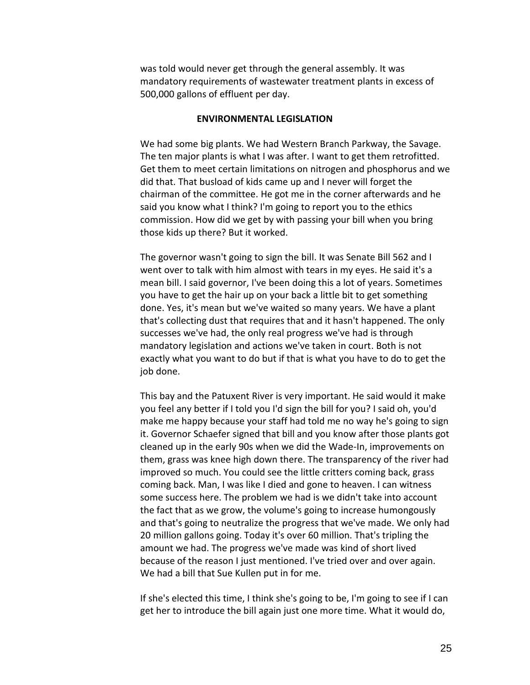was told would never get through the general assembly. It was mandatory requirements of wastewater treatment plants in excess of 500,000 gallons of effluent per day.

## **ENVIRONMENTAL LEGISLATION**

We had some big plants. We had Western Branch Parkway, the Savage. The ten major plants is what I was after. I want to get them retrofitted. Get them to meet certain limitations on nitrogen and phosphorus and we did that. That busload of kids came up and I never will forget the chairman of the committee. He got me in the corner afterwards and he said you know what I think? I'm going to report you to the ethics commission. How did we get by with passing your bill when you bring those kids up there? But it worked.

The governor wasn't going to sign the bill. It was Senate Bill 562 and I went over to talk with him almost with tears in my eyes. He said it's a mean bill. I said governor, I've been doing this a lot of years. Sometimes you have to get the hair up on your back a little bit to get something done. Yes, it's mean but we've waited so many years. We have a plant that's collecting dust that requires that and it hasn't happened. The only successes we've had, the only real progress we've had is through mandatory legislation and actions we've taken in court. Both is not exactly what you want to do but if that is what you have to do to get the job done.

This bay and the Patuxent River is very important. He said would it make you feel any better if I told you I'd sign the bill for you? I said oh, you'd make me happy because your staff had told me no way he's going to sign it. Governor Schaefer signed that bill and you know after those plants got cleaned up in the early 90s when we did the Wade-In, improvements on them, grass was knee high down there. The transparency of the river had improved so much. You could see the little critters coming back, grass coming back. Man, I was like I died and gone to heaven. I can witness some success here. The problem we had is we didn't take into account the fact that as we grow, the volume's going to increase humongously and that's going to neutralize the progress that we've made. We only had 20 million gallons going. Today it's over 60 million. That's tripling the amount we had. The progress we've made was kind of short lived because of the reason I just mentioned. I've tried over and over again. We had a bill that Sue Kullen put in for me.

If she's elected this time, I think she's going to be, I'm going to see if I can get her to introduce the bill again just one more time. What it would do,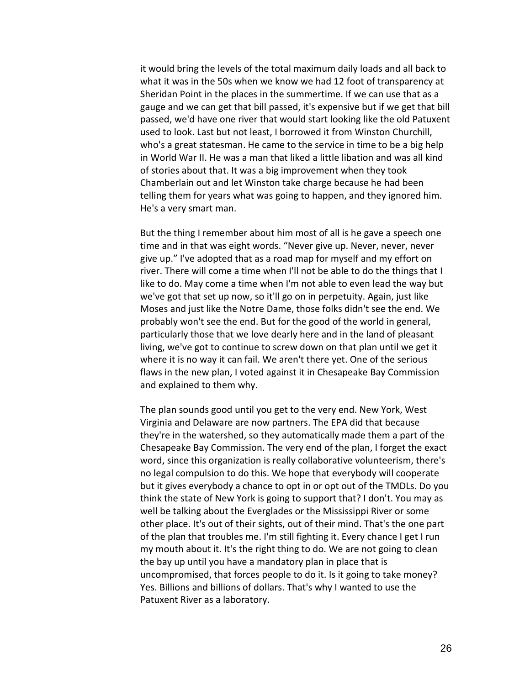it would bring the levels of the total maximum daily loads and all back to what it was in the 50s when we know we had 12 foot of transparency at Sheridan Point in the places in the summertime. If we can use that as a gauge and we can get that bill passed, it's expensive but if we get that bill passed, we'd have one river that would start looking like the old Patuxent used to look. Last but not least, I borrowed it from Winston Churchill, who's a great statesman. He came to the service in time to be a big help in World War II. He was a man that liked a little libation and was all kind of stories about that. It was a big improvement when they took Chamberlain out and let Winston take charge because he had been telling them for years what was going to happen, and they ignored him. He's a very smart man.

But the thing I remember about him most of all is he gave a speech one time and in that was eight words. "Never give up. Never, never, never give up." I've adopted that as a road map for myself and my effort on river. There will come a time when I'll not be able to do the things that I like to do. May come a time when I'm not able to even lead the way but we've got that set up now, so it'll go on in perpetuity. Again, just like Moses and just like the Notre Dame, those folks didn't see the end. We probably won't see the end. But for the good of the world in general, particularly those that we love dearly here and in the land of pleasant living, we've got to continue to screw down on that plan until we get it where it is no way it can fail. We aren't there yet. One of the serious flaws in the new plan, I voted against it in Chesapeake Bay Commission and explained to them why.

The plan sounds good until you get to the very end. New York, West Virginia and Delaware are now partners. The EPA did that because they're in the watershed, so they automatically made them a part of the Chesapeake Bay Commission. The very end of the plan, I forget the exact word, since this organization is really collaborative volunteerism, there's no legal compulsion to do this. We hope that everybody will cooperate but it gives everybody a chance to opt in or opt out of the TMDLs. Do you think the state of New York is going to support that? I don't. You may as well be talking about the Everglades or the Mississippi River or some other place. It's out of their sights, out of their mind. That's the one part of the plan that troubles me. I'm still fighting it. Every chance I get I run my mouth about it. It's the right thing to do. We are not going to clean the bay up until you have a mandatory plan in place that is uncompromised, that forces people to do it. Is it going to take money? Yes. Billions and billions of dollars. That's why I wanted to use the Patuxent River as a laboratory.